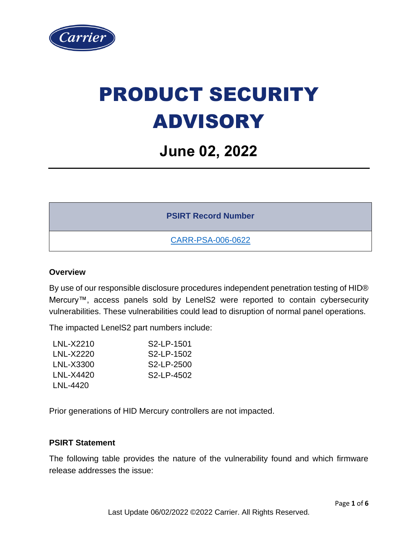

# PRODUCT SECURITY ADVISORY

# **June 02, 2022**

**PSIRT Record Number**

[CARR-PSA-006-0622](https://www.corporate.carrier.com/product-security/advisories-resources/)

### **Overview**

By use of our responsible disclosure procedures independent penetration testing of HID® Mercury™, access panels sold by LenelS2 were reported to contain cybersecurity vulnerabilities. These vulnerabilities could lead to disruption of normal panel operations.

The impacted LenelS2 part numbers include:

| LNL-X2210 | S <sub>2</sub> -I P-1501 |
|-----------|--------------------------|
| LNL-X2220 | S <sub>2</sub> -LP-1502  |
| LNL-X3300 | S <sub>2</sub> -LP-2500  |
| LNL-X4420 | S <sub>2</sub> -I P-4502 |
| LNL-4420  |                          |

Prior generations of HID Mercury controllers are not impacted.

#### **PSIRT Statement**

The following table provides the nature of the vulnerability found and which firmware release addresses the issue: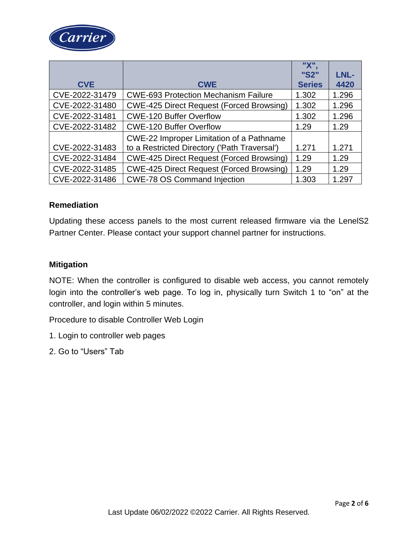

|                |                                                 | "X"           |       |
|----------------|-------------------------------------------------|---------------|-------|
|                |                                                 | "S2"          | LNL-  |
| <b>CVE</b>     | <b>CWE</b>                                      | <b>Series</b> | 4420  |
| CVE-2022-31479 | <b>CWE-693 Protection Mechanism Failure</b>     | 1.302         | 1.296 |
| CVE-2022-31480 | <b>CWE-425 Direct Request (Forced Browsing)</b> | 1.302         | 1.296 |
| CVE-2022-31481 | <b>CWE-120 Buffer Overflow</b>                  | 1.302         | 1.296 |
| CVE-2022-31482 | <b>CWE-120 Buffer Overflow</b>                  | 1.29          | 1.29  |
|                | <b>CWE-22 Improper Limitation of a Pathname</b> |               |       |
| CVE-2022-31483 | to a Restricted Directory ('Path Traversal')    | 1.271         | 1.271 |
| CVE-2022-31484 | <b>CWE-425 Direct Request (Forced Browsing)</b> | 1.29          | 1.29  |
| CVE-2022-31485 | <b>CWE-425 Direct Request (Forced Browsing)</b> | 1.29          | 1.29  |
| CVE-2022-31486 | <b>CWE-78 OS Command Injection</b>              | 1.303         | 1.297 |

#### **Remediation**

Updating these access panels to the most current released firmware via the LenelS2 Partner Center. Please contact your support channel partner for instructions.

#### **Mitigation**

NOTE: When the controller is configured to disable web access, you cannot remotely login into the controller's web page. To log in, physically turn Switch 1 to "on" at the controller, and login within 5 minutes.

Procedure to disable Controller Web Login

- 1. Login to controller web pages
- 2. Go to "Users" Tab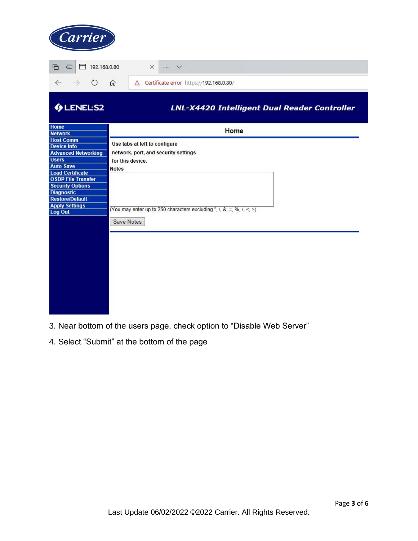| Carrier                                                                                                                                                                                                                                                                               |                                                                                                                                                                                                                                    |  |  |  |  |  |
|---------------------------------------------------------------------------------------------------------------------------------------------------------------------------------------------------------------------------------------------------------------------------------------|------------------------------------------------------------------------------------------------------------------------------------------------------------------------------------------------------------------------------------|--|--|--|--|--|
| 目<br>€<br>$\Box$ 192.168.0.80<br>$\times$<br>$+$ $\vee$                                                                                                                                                                                                                               |                                                                                                                                                                                                                                    |  |  |  |  |  |
| $\circ$<br>$\rightarrow$<br>$\leftarrow$                                                                                                                                                                                                                                              | △ Certificate error https://192.168.0.80/<br>⋒                                                                                                                                                                                     |  |  |  |  |  |
| <b>GLENELS2</b>                                                                                                                                                                                                                                                                       | LNL-X4420 Intelligent Dual Reader Controller                                                                                                                                                                                       |  |  |  |  |  |
| <b>Home</b><br><b>Network</b>                                                                                                                                                                                                                                                         | Home                                                                                                                                                                                                                               |  |  |  |  |  |
| <b>Host Comm</b><br><b>Device Info</b><br><b>Advanced Networking</b><br><b>Users</b><br><b>Auto-Save</b><br><b>Load Certificate</b><br><b>OSDP File Transfer</b><br><b>Security Options</b><br><b>Diagnostic</b><br><b>Restore/Default</b><br><b>Apply Settings</b><br><b>Log Out</b> | Use tabs at left to configure<br>network, port, and security settings<br>for this device.<br><b>Notes</b><br>(You may enter up to 250 characters excluding ", $\lambda$ , $\lambda$ , =, %, $\lambda$ , <, >)<br><b>Save Notes</b> |  |  |  |  |  |
|                                                                                                                                                                                                                                                                                       |                                                                                                                                                                                                                                    |  |  |  |  |  |

- 3. Near bottom of the users page, check option to "Disable Web Server"
- 4. Select "Submit" at the bottom of the page

**CONTRACTOR**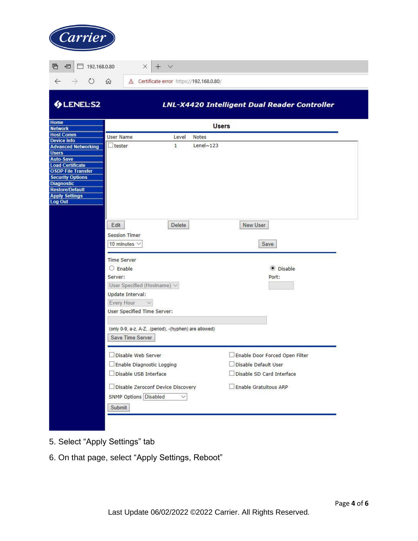

|                                       |                                                        |              | LNL-X4420 Intelligent Dual Reader Controller |
|---------------------------------------|--------------------------------------------------------|--------------|----------------------------------------------|
|                                       | <b>Users</b>                                           |              |                                              |
| <b>User Name</b>                      | Level                                                  | <b>Notes</b> |                                              |
| Itester<br><b>Advanced Networking</b> | 1                                                      | Lenel $~123$ |                                              |
|                                       |                                                        |              |                                              |
|                                       |                                                        |              |                                              |
|                                       |                                                        |              |                                              |
| Edit                                  | <b>Delete</b>                                          |              | New User                                     |
| <b>Session Timer</b>                  |                                                        |              |                                              |
| 10 minutes $\vee$                     |                                                        |              | Save                                         |
| <b>Time Server</b>                    |                                                        |              |                                              |
| $O$ Enable                            |                                                        |              | ● Disable                                    |
| Server:                               |                                                        |              | Port:                                        |
| User Specified (Hostname) V           |                                                        |              |                                              |
| Update Interval:                      |                                                        |              |                                              |
| Every Hour<br>$\sim$                  |                                                        |              |                                              |
| User Specified Time Server:           |                                                        |              |                                              |
|                                       |                                                        |              |                                              |
|                                       | (only 0-9, a-z, A-Z, .(period), -(hyphen) are allowed) |              |                                              |
| Save Time Server                      |                                                        |              |                                              |
| Disable Web Server                    |                                                        |              | Enable Door Forced Open Filter               |
| Enable Diagnostic Logging             |                                                        |              | Disable Default User                         |
| Disable USB Interface                 |                                                        |              | Disable SD Card Interface                    |
|                                       | □ Disable Zeroconf Device Discovery                    |              | Enable Gratuitous ARP                        |
| <b>SNMP Options Disabled</b>          | $\checkmark$                                           |              |                                              |
| Submit                                |                                                        |              |                                              |

- 5. Select "Apply Settings" tab
- 6. On that page, select "Apply Settings, Reboot"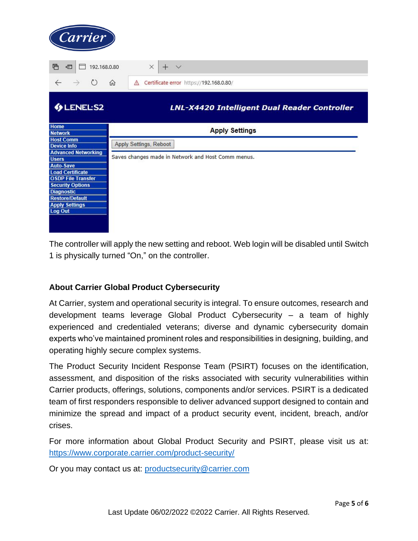

The controller will apply the new setting and reboot. Web login will be disabled until Switch 1 is physically turned "On," on the controller.

## **About Carrier Global Product Cybersecurity**

At Carrier, system and operational security is integral. To ensure outcomes, research and development teams leverage Global Product Cybersecurity – a team of highly experienced and credentialed veterans; diverse and dynamic cybersecurity domain experts who've maintained prominent roles and responsibilities in designing, building, and operating highly secure complex systems.

The Product Security Incident Response Team (PSIRT) focuses on the identification, assessment, and disposition of the risks associated with security vulnerabilities within Carrier products, offerings, solutions, components and/or services. PSIRT is a dedicated team of first responders responsible to deliver advanced support designed to contain and minimize the spread and impact of a product security event, incident, breach, and/or crises.

For more information about Global Product Security and PSIRT, please visit us at: <https://www.corporate.carrier.com/product-security/>

Or you may contact us at: [productsecurity@carrier.com](mailto:productsecurity@carrier.com)